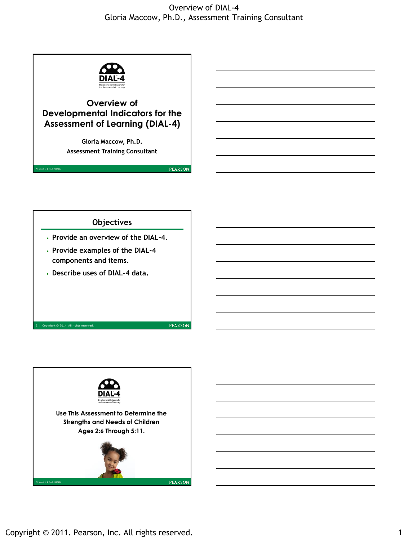

# **Overview of Developmental Indicators for the Assessment of Learning (DIAL-4)**

**Gloria Maccow, Ph.D. Assessment Training Consultant**



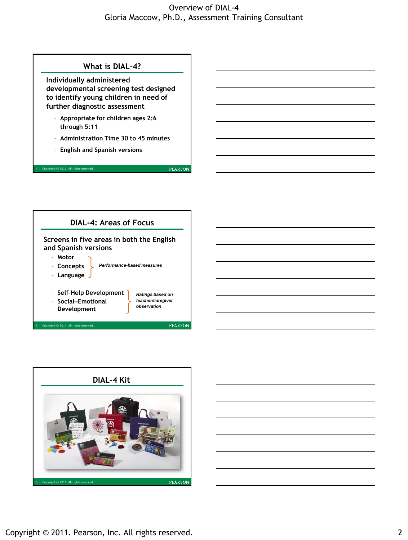

- **Concepts**
- **Language**
- **Self-Help Development**
- **Social–Emotional Development**
- *Ratings based on teacher/caregiver observation*

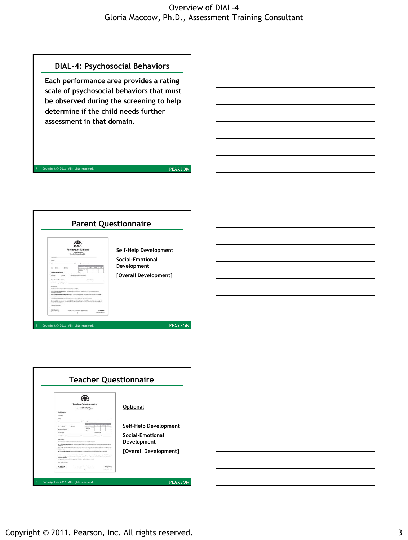

PEARSON



 $right  $\otimes 2011.$  All$ 



Copyright © 2011. Pearson, Inc. All rights reserved. **3** 3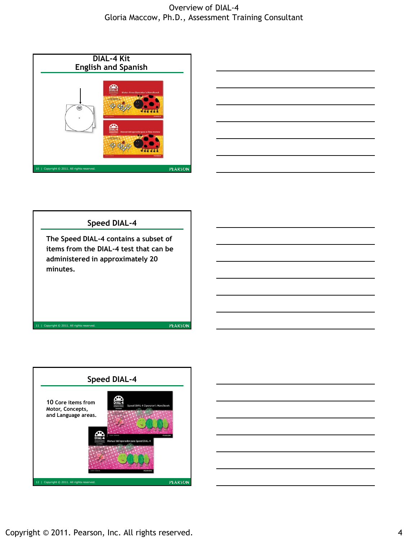



#### **Speed DIAL-4**

**The Speed DIAL-4 contains a subset of items from the DIAL-4 test that can be administered in approximately 20 minutes.**



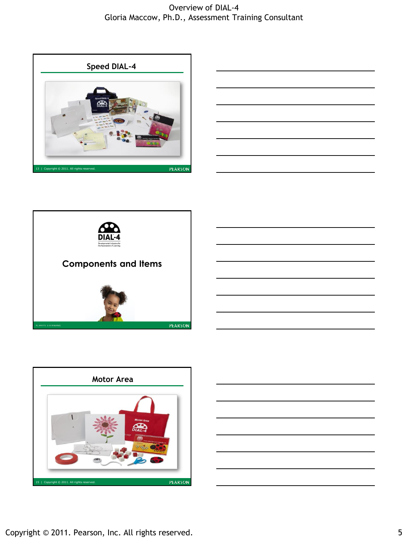









Copyright © 2011. Pearson, Inc. All rights reserved. 5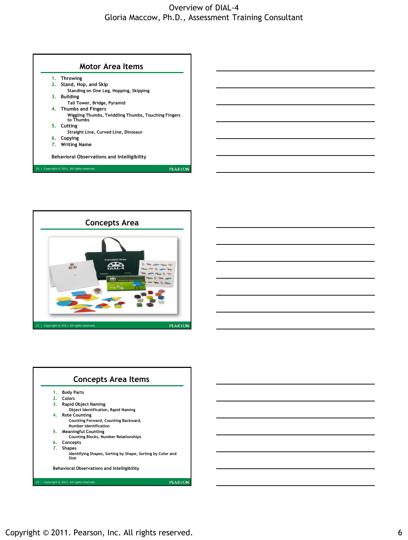



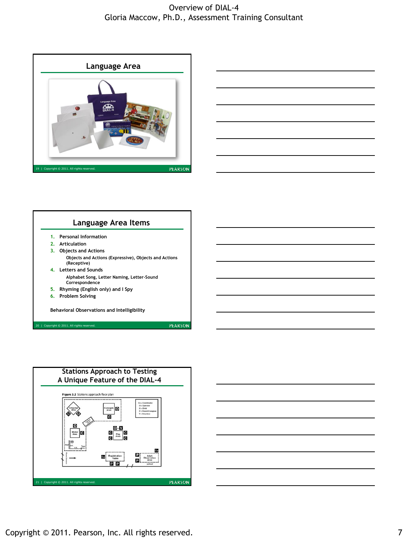









Copyright © 2011. Pearson, Inc. All rights reserved. The matrix of the control of the control of the control of the control of the control of the control of the control of the control of the control of the control of the c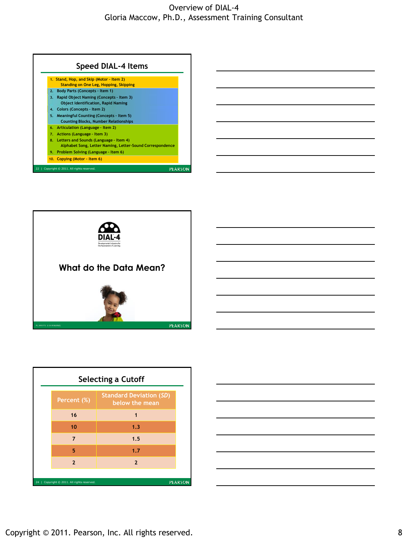|                | 1. Stand, Hop, and Skip (Motor - Item 2)                                                               |
|----------------|--------------------------------------------------------------------------------------------------------|
|                | <b>Standing on One Leg, Hopping, Skipping</b>                                                          |
| 2 <sup>2</sup> | <b>Body Parts (Concepts - Item 1)</b>                                                                  |
| 3.             | Rapid Object Naming (Concepts - Item 3)                                                                |
|                | <b>Object Identification, Rapid Naming</b>                                                             |
|                | 4. Colors (Concepts - Item 2)                                                                          |
|                | 5. Meaningful Counting (Concepts - Item 5)                                                             |
|                | <b>Counting Blocks, Number Relationships</b>                                                           |
| 6.             | Articulation (Language - Item 2)                                                                       |
| 7.             | Actions (Language - Item 3)                                                                            |
|                | 8. Letters and Sounds (Language - Item 4)<br>Alphabet Song, Letter Naming, Letter-Sound Correspondence |
|                | 9. Problem Solving (Language - Item 6)                                                                 |
|                | 10. Copying (Motor - Item 6)                                                                           |



| <b>Selecting a Cutoff</b>                                      |                |                                                  |  |  |
|----------------------------------------------------------------|----------------|--------------------------------------------------|--|--|
|                                                                | Percent (%)    | <b>Standard Deviation (SD)</b><br>below the mean |  |  |
|                                                                | 16             | 1                                                |  |  |
|                                                                | 10             | 1.3                                              |  |  |
|                                                                | $\overline{7}$ | 1.5                                              |  |  |
|                                                                | 5              | 1.7                                              |  |  |
|                                                                | $\overline{2}$ | $\overline{2}$                                   |  |  |
|                                                                |                |                                                  |  |  |
| <b>PEARSON</b><br>Copyright © 2011. All rights reserved.<br>24 |                |                                                  |  |  |



Copyright © 2011. Pearson, Inc. All rights reserved. 8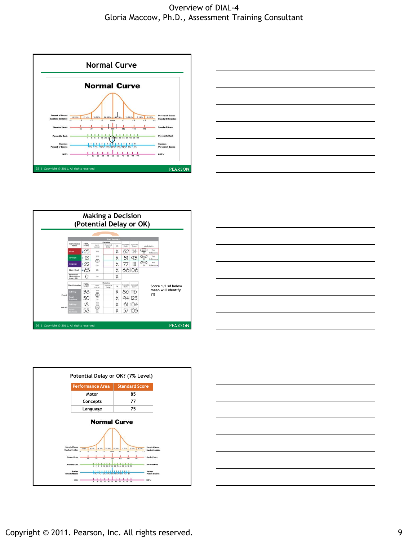











Copyright © 2011. Pearson, Inc. All rights reserved. The state of the state of the state of the state of the state of the state of the state of the state of the state of the state of the state of the state of the state of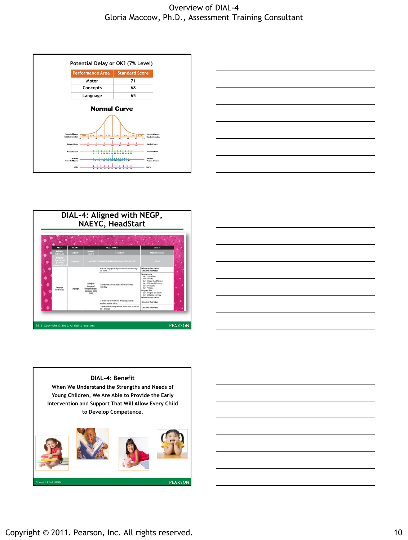